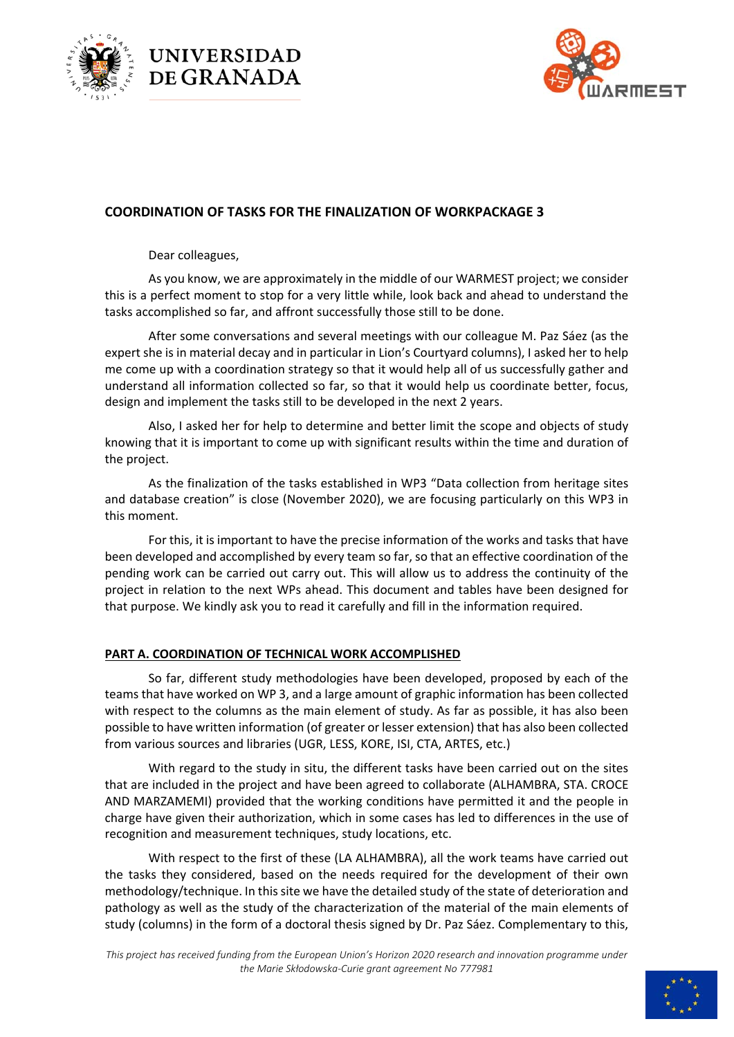





# **COORDINATION OF TASKS FOR THE FINALIZATION OF WORKPACKAGE 3**

Dear colleagues,

As you know, we are approximately in the middle of our WARMEST project; we consider this is a perfect moment to stop for a very little while, look back and ahead to understand the tasks accomplished so far, and affront successfully those still to be done.

After some conversations and several meetings with our colleague M. Paz Sáez (as the expert she is in material decay and in particular in Lion's Courtyard columns), I asked her to help me come up with a coordination strategy so that it would help all of us successfully gather and understand all information collected so far, so that it would help us coordinate better, focus, design and implement the tasks still to be developed in the next 2 years.

Also, I asked her for help to determine and better limit the scope and objects of study knowing that it is important to come up with significant results within the time and duration of the project.

As the finalization of the tasks established in WP3 "Data collection from heritage sites and database creation" is close (November 2020), we are focusing particularly on this WP3 in this moment.

For this, it is important to have the precise information of the works and tasks that have been developed and accomplished by every team so far, so that an effective coordination of the pending work can be carried out carry out. This will allow us to address the continuity of the project in relation to the next WPs ahead. This document and tables have been designed for that purpose. We kindly ask you to read it carefully and fill in the information required.

## **PART A. COORDINATION OF TECHNICAL WORK ACCOMPLISHED**

So far, different study methodologies have been developed, proposed by each of the teams that have worked on WP 3, and a large amount of graphic information has been collected with respect to the columns as the main element of study. As far as possible, it has also been possible to have written information (of greater or lesser extension) that has also been collected from various sources and libraries (UGR, LESS, KORE, ISI, CTA, ARTES, etc.)

With regard to the study in situ, the different tasks have been carried out on the sites that are included in the project and have been agreed to collaborate (ALHAMBRA, STA. CROCE AND MARZAMEMI) provided that the working conditions have permitted it and the people in charge have given their authorization, which in some cases has led to differences in the use of recognition and measurement techniques, study locations, etc.

With respect to the first of these (LA ALHAMBRA), all the work teams have carried out the tasks they considered, based on the needs required for the development of their own methodology/technique. In this site we have the detailed study of the state of deterioration and pathology as well as the study of the characterization of the material of the main elements of study (columns) in the form of a doctoral thesis signed by Dr. Paz Sáez. Complementary to this,

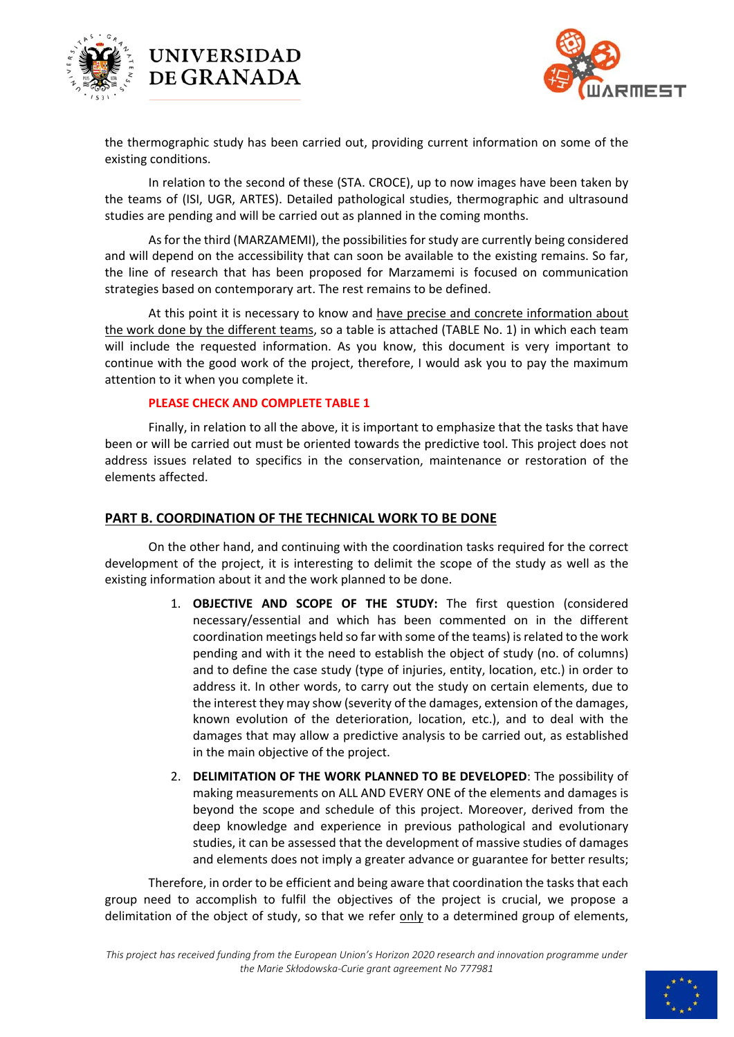



the thermographic study has been carried out, providing current information on some of the existing conditions.

In relation to the second of these (STA. CROCE), up to now images have been taken by the teams of (ISI, UGR, ARTES). Detailed pathological studies, thermographic and ultrasound studies are pending and will be carried out as planned in the coming months.

As for the third (MARZAMEMI), the possibilities for study are currently being considered and will depend on the accessibility that can soon be available to the existing remains. So far, the line of research that has been proposed for Marzamemi is focused on communication strategies based on contemporary art. The rest remains to be defined.

At this point it is necessary to know and have precise and concrete information about the work done by the different teams, so a table is attached (TABLE No. 1) in which each team will include the requested information. As you know, this document is very important to continue with the good work of the project, therefore, I would ask you to pay the maximum attention to it when you complete it.

## **PLEASE CHECK AND COMPLETE TABLE 1**

**UNIVERSIDAD** DE GRANADA

Finally, in relation to all the above, it is important to emphasize that the tasks that have been or will be carried out must be oriented towards the predictive tool. This project does not address issues related to specifics in the conservation, maintenance or restoration of the elements affected.

# **PART B. COORDINATION OF THE TECHNICAL WORK TO BE DONE**

On the other hand, and continuing with the coordination tasks required for the correct development of the project, it is interesting to delimit the scope of the study as well as the existing information about it and the work planned to be done.

- 1. **OBJECTIVE AND SCOPE OF THE STUDY:** The first question (considered necessary/essential and which has been commented on in the different coordination meetings held so far with some of the teams) is related to the work pending and with it the need to establish the object of study (no. of columns) and to define the case study (type of injuries, entity, location, etc.) in order to address it. In other words, to carry out the study on certain elements, due to the interest they may show (severity of the damages, extension of the damages, known evolution of the deterioration, location, etc.), and to deal with the damages that may allow a predictive analysis to be carried out, as established in the main objective of the project.
- 2. **DELIMITATION OF THE WORK PLANNED TO BE DEVELOPED**: The possibility of making measurements on ALL AND EVERY ONE of the elements and damages is beyond the scope and schedule of this project. Moreover, derived from the deep knowledge and experience in previous pathological and evolutionary studies, it can be assessed that the development of massive studies of damages and elements does not imply a greater advance or guarantee for better results;

Therefore, in order to be efficient and being aware that coordination the tasks that each group need to accomplish to fulfil the objectives of the project is crucial, we propose a delimitation of the object of study, so that we refer only to a determined group of elements,

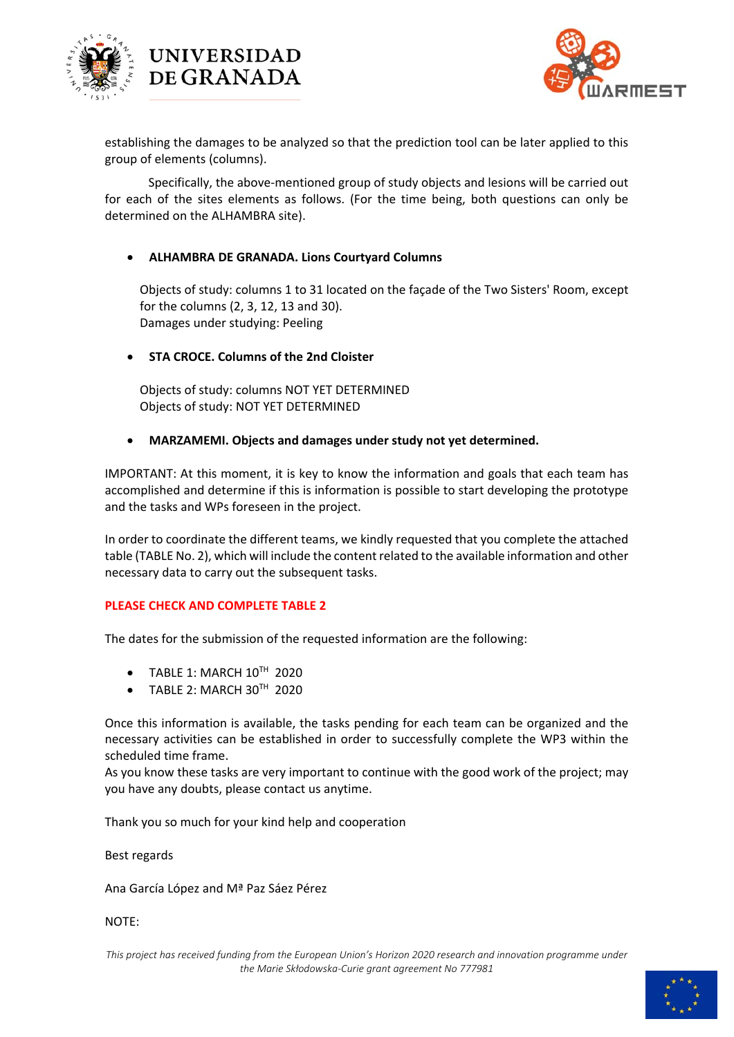



establishing the damages to be analyzed so that the prediction tool can be later applied to this group of elements (columns).

Specifically, the above‐mentioned group of study objects and lesions will be carried out for each of the sites elements as follows. (For the time being, both questions can only be determined on the ALHAMBRA site).

## **ALHAMBRA DE GRANADA. Lions Courtyard Columns**

Objects of study: columns 1 to 31 located on the façade of the Two Sisters' Room, except for the columns (2, 3, 12, 13 and 30). Damages under studying: Peeling

## **STA CROCE. Columns of the 2nd Cloister**

**UNIVERSIDAD** DE GRANADA

Objects of study: columns NOT YET DETERMINED Objects of study: NOT YET DETERMINED

### **MARZAMEMI. Objects and damages under study not yet determined.**

IMPORTANT: At this moment, it is key to know the information and goals that each team has accomplished and determine if this is information is possible to start developing the prototype and the tasks and WPs foreseen in the project.

In order to coordinate the different teams, we kindly requested that you complete the attached table (TABLE No. 2), which will include the content related to the available information and other necessary data to carry out the subsequent tasks.

## **PLEASE CHECK AND COMPLETE TABLE 2**

The dates for the submission of the requested information are the following:

- $\bullet$  TABLE 1: MARCH  $10^{TH}$  2020
- TABLE 2: MARCH 30TH 2020

Once this information is available, the tasks pending for each team can be organized and the necessary activities can be established in order to successfully complete the WP3 within the scheduled time frame.

As you know these tasks are very important to continue with the good work of the project; may you have any doubts, please contact us anytime.

Thank you so much for your kind help and cooperation

#### Best regards

Ana García López and Mª Paz Sáez Pérez

### NOTE:

*This project has received funding from the European Union's Horizon 2020 research and innovation programme under the Marie Skłodowska‐Curie grant agreement No 777981* 

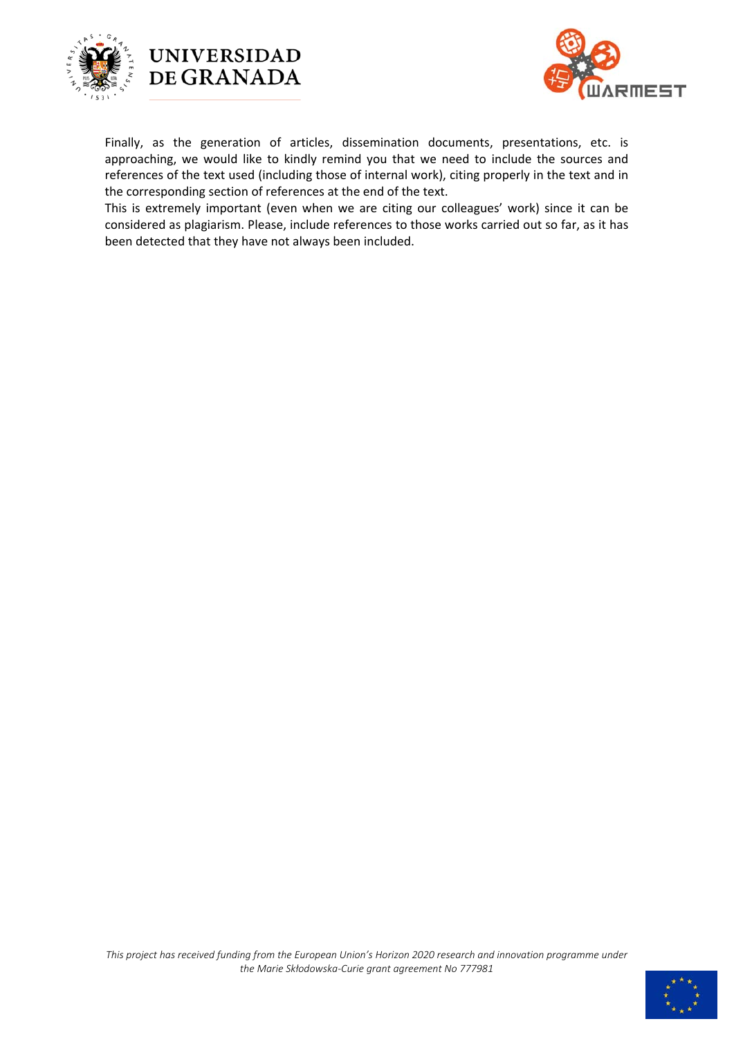





Finally, as the generation of articles, dissemination documents, presentations, etc. is approaching, we would like to kindly remind you that we need to include the sources and references of the text used (including those of internal work), citing properly in the text and in the corresponding section of references at the end of the text.

This is extremely important (even when we are citing our colleagues' work) since it can be considered as plagiarism. Please, include references to those works carried out so far, as it has been detected that they have not always been included.

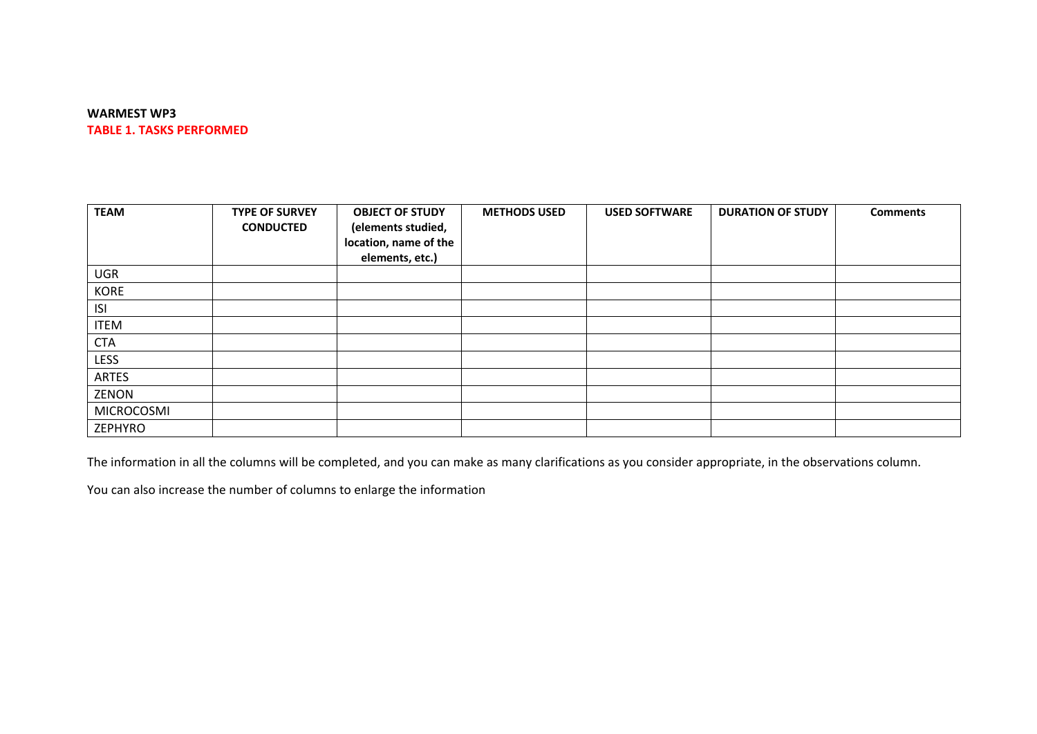#### **WARMEST WP3 TABLE 1. TASKS PERFORMED**

| <b>TEAM</b>       | <b>TYPE OF SURVEY</b><br><b>CONDUCTED</b> | <b>OBJECT OF STUDY</b><br>(elements studied,<br>location, name of the<br>elements, etc.) | <b>METHODS USED</b> | <b>USED SOFTWARE</b> | <b>DURATION OF STUDY</b> | <b>Comments</b> |
|-------------------|-------------------------------------------|------------------------------------------------------------------------------------------|---------------------|----------------------|--------------------------|-----------------|
| <b>UGR</b>        |                                           |                                                                                          |                     |                      |                          |                 |
| <b>KORE</b>       |                                           |                                                                                          |                     |                      |                          |                 |
| <b>ISI</b>        |                                           |                                                                                          |                     |                      |                          |                 |
| <b>ITEM</b>       |                                           |                                                                                          |                     |                      |                          |                 |
| <b>CTA</b>        |                                           |                                                                                          |                     |                      |                          |                 |
| <b>LESS</b>       |                                           |                                                                                          |                     |                      |                          |                 |
| <b>ARTES</b>      |                                           |                                                                                          |                     |                      |                          |                 |
| ZENON             |                                           |                                                                                          |                     |                      |                          |                 |
| <b>MICROCOSMI</b> |                                           |                                                                                          |                     |                      |                          |                 |
| ZEPHYRO           |                                           |                                                                                          |                     |                      |                          |                 |

The information in all the columns will be completed, and you can make as many clarifications as you consider appropriate, in the observations column.

You can also increase the number of columns to enlarge the information